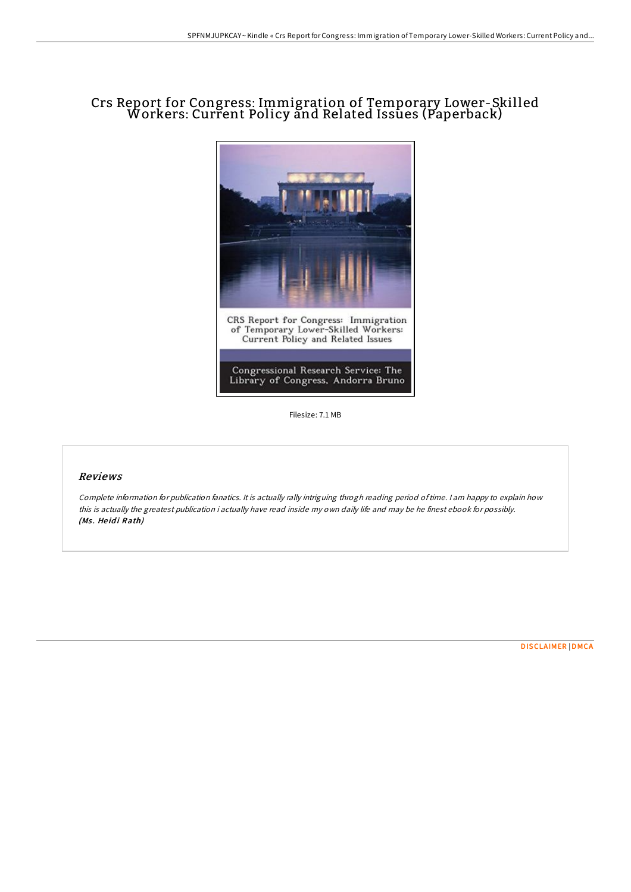## Crs Report for Congress: Immigration of Temporary Lower-Skilled Workers: Current Policy and Related Issues (Paperback)



Filesize: 7.1 MB

## Reviews

Complete information for publication fanatics. It is actually rally intriguing throgh reading period oftime. <sup>I</sup> am happy to explain how this is actually the greatest publication i actually have read inside my own daily life and may be he finest ebook for possibly. (Ms. Heidi Rath)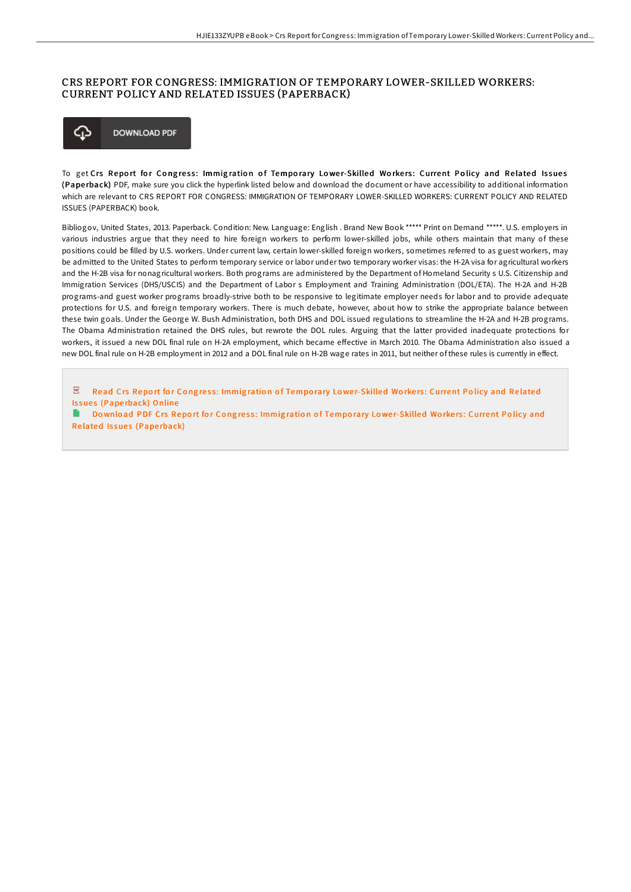## CRS REPORT FOR CONGRESS: IMMIGRATION OF TEMPORARY LOWER-SKILLED WORKERS: CURRENT POLICY AND RELATED ISSUES (PAPERBACK)



To get Crs Report for Congress: Immigration of Temporary Lower-Skilled Workers: Current Policy and Related Issues (Pape rback) PDF, make sure you click the hyperlink listed below and download the document or have accessibility to additional information which are relevant to CRS REPORT FOR CONGRESS: IMMIGRATION OF TEMPORARY LOWER-SKILLED WORKERS: CURRENT POLICY AND RELATED ISSUES (PAPERBACK) book.

Bibliogov, United States, 2013. Paperback. Condition: New. Language: English . Brand New Book \*\*\*\*\* Print on Demand \*\*\*\*\*. U.S. employers in various industries argue that they need to hire foreign workers to perform lower-skilled jobs, while others maintain that many of these positions could be filled by U.S. workers. Under current law, certain lower-skilled foreign workers, sometimes referred to as guest workers, may be admitted to the United States to perform temporary service or labor under two temporary worker visas: the H-2A visa for agricultural workers and the H-2B visa for nonagricultural workers. Both programs are administered by the Department of Homeland Security s U.S. Citizenship and Immigration Services (DHS/USCIS) and the Department of Labor s Employment and Training Administration (DOL/ETA). The H-2A and H-2B programs-and guest worker programs broadly-strive both to be responsive to legitimate employer needs for labor and to provide adequate protections for U.S. and foreign temporary workers. There is much debate, however, about how to strike the appropriate balance between these twin goals. Under the George W. Bush Administration, both DHS and DOL issued regulations to streamline the H-2A and H-2B programs. The Obama Administration retained the DHS rules, but rewrote the DOL rules. Arguing that the latter provided inadequate protections for workers, it issued a new DOL final rule on H-2A employment, which became effective in March 2010. The Obama Administration also issued a new DOL final rule on H-2B employment in 2012 and a DOL final rule on H-2B wage rates in 2011, but neither of these rules is currently in effect.

 $\overline{\mathrm{pos}}$ Read Crs Report for Congress: Immigration of Temporary Lowe[r-Skilled](http://almighty24.tech/crs-report-for-congress-immigration-of-temporary.html) Workers: Current Policy and Related Issues (Paperback) Online

Do wnload PDF Crs Report for Congress: Immigration of Temporary Lowe[r-Skilled](http://almighty24.tech/crs-report-for-congress-immigration-of-temporary.html) Workers: Current Policy and Related Issues (Paperback)